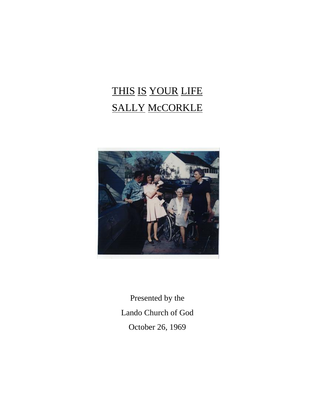# THIS IS YOUR LIFE **SALLY McCORKLE**



Presented by the Lando Church of God October 26, 1969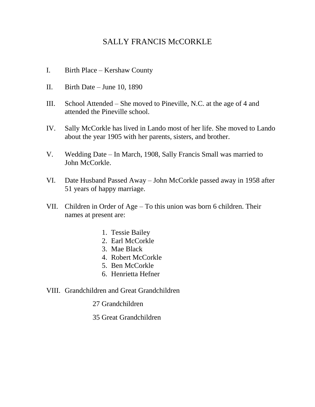## SALLY FRANCIS McCORKLE

- I. Birth Place Kershaw County
- II. Birth Date June 10, 1890
- III. School Attended She moved to Pineville, N.C. at the age of 4 and attended the Pineville school.
- IV. Sally McCorkle has lived in Lando most of her life. She moved to Lando about the year 1905 with her parents, sisters, and brother.
- V. Wedding Date In March, 1908, Sally Francis Small was married to John McCorkle.
- VI. Date Husband Passed Away John McCorkle passed away in 1958 after 51 years of happy marriage.
- VII. Children in Order of Age To this union was born 6 children. Their names at present are:
	- 1. Tessie Bailey
	- 2. Earl McCorkle
	- 3. Mae Black
	- 4. Robert McCorkle
	- 5. Ben McCorkle
	- 6. Henrietta Hefner
- VIII. Grandchildren and Great Grandchildren
	- 27 Grandchildren
	- 35 Great Grandchildren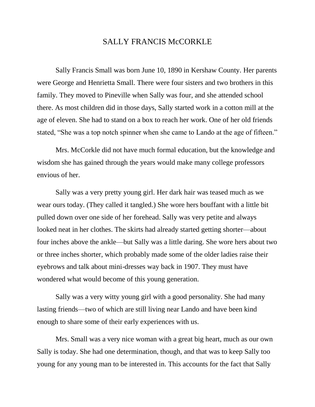### SALLY FRANCIS McCORKLE

Sally Francis Small was born June 10, 1890 in Kershaw County. Her parents were George and Henrietta Small. There were four sisters and two brothers in this family. They moved to Pineville when Sally was four, and she attended school there. As most children did in those days, Sally started work in a cotton mill at the age of eleven. She had to stand on a box to reach her work. One of her old friends stated, "She was a top notch spinner when she came to Lando at the age of fifteen."

Mrs. McCorkle did not have much formal education, but the knowledge and wisdom she has gained through the years would make many college professors envious of her.

Sally was a very pretty young girl. Her dark hair was teased much as we wear ours today. (They called it tangled.) She wore hers bouffant with a little bit pulled down over one side of her forehead. Sally was very petite and always looked neat in her clothes. The skirts had already started getting shorter—about four inches above the ankle—but Sally was a little daring. She wore hers about two or three inches shorter, which probably made some of the older ladies raise their eyebrows and talk about mini-dresses way back in 1907. They must have wondered what would become of this young generation.

Sally was a very witty young girl with a good personality. She had many lasting friends—two of which are still living near Lando and have been kind enough to share some of their early experiences with us.

Mrs. Small was a very nice woman with a great big heart, much as our own Sally is today. She had one determination, though, and that was to keep Sally too young for any young man to be interested in. This accounts for the fact that Sally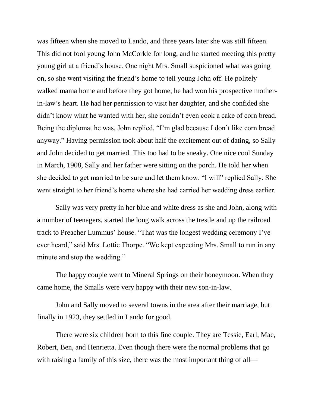was fifteen when she moved to Lando, and three years later she was still fifteen. This did not fool young John McCorkle for long, and he started meeting this pretty young girl at a friend's house. One night Mrs. Small suspicioned what was going on, so she went visiting the friend's home to tell young John off. He politely walked mama home and before they got home, he had won his prospective motherin-law's heart. He had her permission to visit her daughter, and she confided she didn't know what he wanted with her, she couldn't even cook a cake of corn bread. Being the diplomat he was, John replied, "I'm glad because I don't like corn bread anyway." Having permission took about half the excitement out of dating, so Sally and John decided to get married. This too had to be sneaky. One nice cool Sunday in March, 1908, Sally and her father were sitting on the porch. He told her when she decided to get married to be sure and let them know. "I will" replied Sally. She went straight to her friend's home where she had carried her wedding dress earlier.

Sally was very pretty in her blue and white dress as she and John, along with a number of teenagers, started the long walk across the trestle and up the railroad track to Preacher Lummus' house. "That was the longest wedding ceremony I've ever heard," said Mrs. Lottie Thorpe. "We kept expecting Mrs. Small to run in any minute and stop the wedding."

The happy couple went to Mineral Springs on their honeymoon. When they came home, the Smalls were very happy with their new son-in-law.

John and Sally moved to several towns in the area after their marriage, but finally in 1923, they settled in Lando for good.

There were six children born to this fine couple. They are Tessie, Earl, Mae, Robert, Ben, and Henrietta. Even though there were the normal problems that go with raising a family of this size, there was the most important thing of all—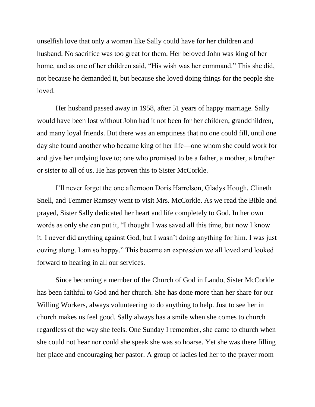unselfish love that only a woman like Sally could have for her children and husband. No sacrifice was too great for them. Her beloved John was king of her home, and as one of her children said, "His wish was her command." This she did, not because he demanded it, but because she loved doing things for the people she loved.

Her husband passed away in 1958, after 51 years of happy marriage. Sally would have been lost without John had it not been for her children, grandchildren, and many loyal friends. But there was an emptiness that no one could fill, until one day she found another who became king of her life—one whom she could work for and give her undying love to; one who promised to be a father, a mother, a brother or sister to all of us. He has proven this to Sister McCorkle.

I'll never forget the one afternoon Doris Harrelson, Gladys Hough, Clineth Snell, and Temmer Ramsey went to visit Mrs. McCorkle. As we read the Bible and prayed, Sister Sally dedicated her heart and life completely to God. In her own words as only she can put it, "I thought I was saved all this time, but now I know it. I never did anything against God, but I wasn't doing anything for him. I was just oozing along. I am so happy." This became an expression we all loved and looked forward to hearing in all our services.

Since becoming a member of the Church of God in Lando, Sister McCorkle has been faithful to God and her church. She has done more than her share for our Willing Workers, always volunteering to do anything to help. Just to see her in church makes us feel good. Sally always has a smile when she comes to church regardless of the way she feels. One Sunday I remember, she came to church when she could not hear nor could she speak she was so hoarse. Yet she was there filling her place and encouraging her pastor. A group of ladies led her to the prayer room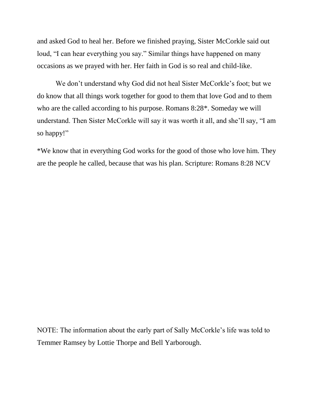and asked God to heal her. Before we finished praying, Sister McCorkle said out loud, "I can hear everything you say." Similar things have happened on many occasions as we prayed with her. Her faith in God is so real and child-like.

We don't understand why God did not heal Sister McCorkle's foot; but we do know that all things work together for good to them that love God and to them who are the called according to his purpose. Romans 8:28\*. Someday we will understand. Then Sister McCorkle will say it was worth it all, and she'll say, "I am so happy!"

\*We know that in everything God works for the good of those who love him. They are the people he called, because that was his plan. Scripture: Romans 8:28 NCV

NOTE: The information about the early part of Sally McCorkle's life was told to Temmer Ramsey by Lottie Thorpe and Bell Yarborough.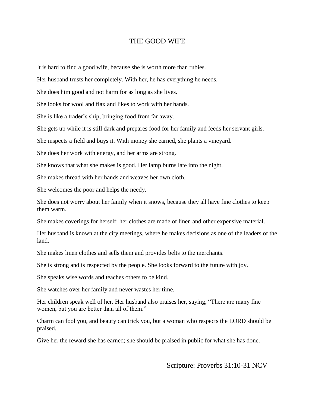#### THE GOOD WIFE

It is hard to find a good wife, because she is worth more than rubies.

Her husband trusts her completely. With her, he has everything he needs.

She does him good and not harm for as long as she lives.

She looks for wool and flax and likes to work with her hands.

She is like a trader's ship, bringing food from far away.

She gets up while it is still dark and prepares food for her family and feeds her servant girls.

She inspects a field and buys it. With money she earned, she plants a vineyard.

She does her work with energy, and her arms are strong.

She knows that what she makes is good. Her lamp burns late into the night.

She makes thread with her hands and weaves her own cloth.

She welcomes the poor and helps the needy.

She does not worry about her family when it snows, because they all have fine clothes to keep them warm.

She makes coverings for herself; her clothes are made of linen and other expensive material.

Her husband is known at the city meetings, where he makes decisions as one of the leaders of the land.

She makes linen clothes and sells them and provides belts to the merchants.

She is strong and is respected by the people. She looks forward to the future with joy.

She speaks wise words and teaches others to be kind.

She watches over her family and never wastes her time.

Her children speak well of her. Her husband also praises her, saying, "There are many fine women, but you are better than all of them."

Charm can fool you, and beauty can trick you, but a woman who respects the LORD should be praised.

Give her the reward she has earned; she should be praised in public for what she has done.

Scripture: Proverbs 31:10-31 NCV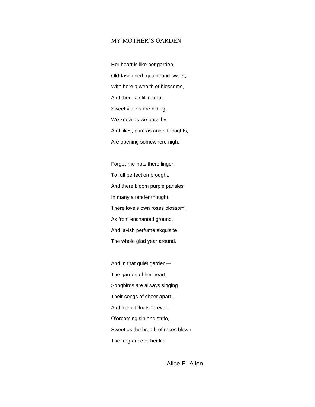#### MY MOTHER'S GARDEN

Her heart is like her garden, Old-fashioned, quaint and sweet, With here a wealth of blossoms, And there a still retreat. Sweet violets are hiding, We know as we pass by, And lilies, pure as angel thoughts, Are opening somewhere nigh.

Forget-me-nots there linger, To full perfection brought, And there bloom purple pansies In many a tender thought. There love's own roses blossom, As from enchanted ground, And lavish perfume exquisite The whole glad year around.

And in that quiet garden— The garden of her heart, Songbirds are always singing Their songs of cheer apart. And from it floats forever, O'ercoming sin and strife, Sweet as the breath of roses blown, The fragrance of her life.

Alice E. Allen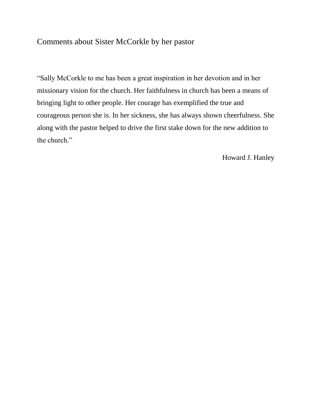## Comments about Sister McCorkle by her pastor

"Sally McCorkle to me has been a great inspiration in her devotion and in her missionary vision for the church. Her faithfulness in church has been a means of bringing light to other people. Her courage has exemplified the true and courageous person she is. In her sickness, she has always shown cheerfulness. She along with the pastor helped to drive the first stake down for the new addition to the church."

Howard J. Hanley